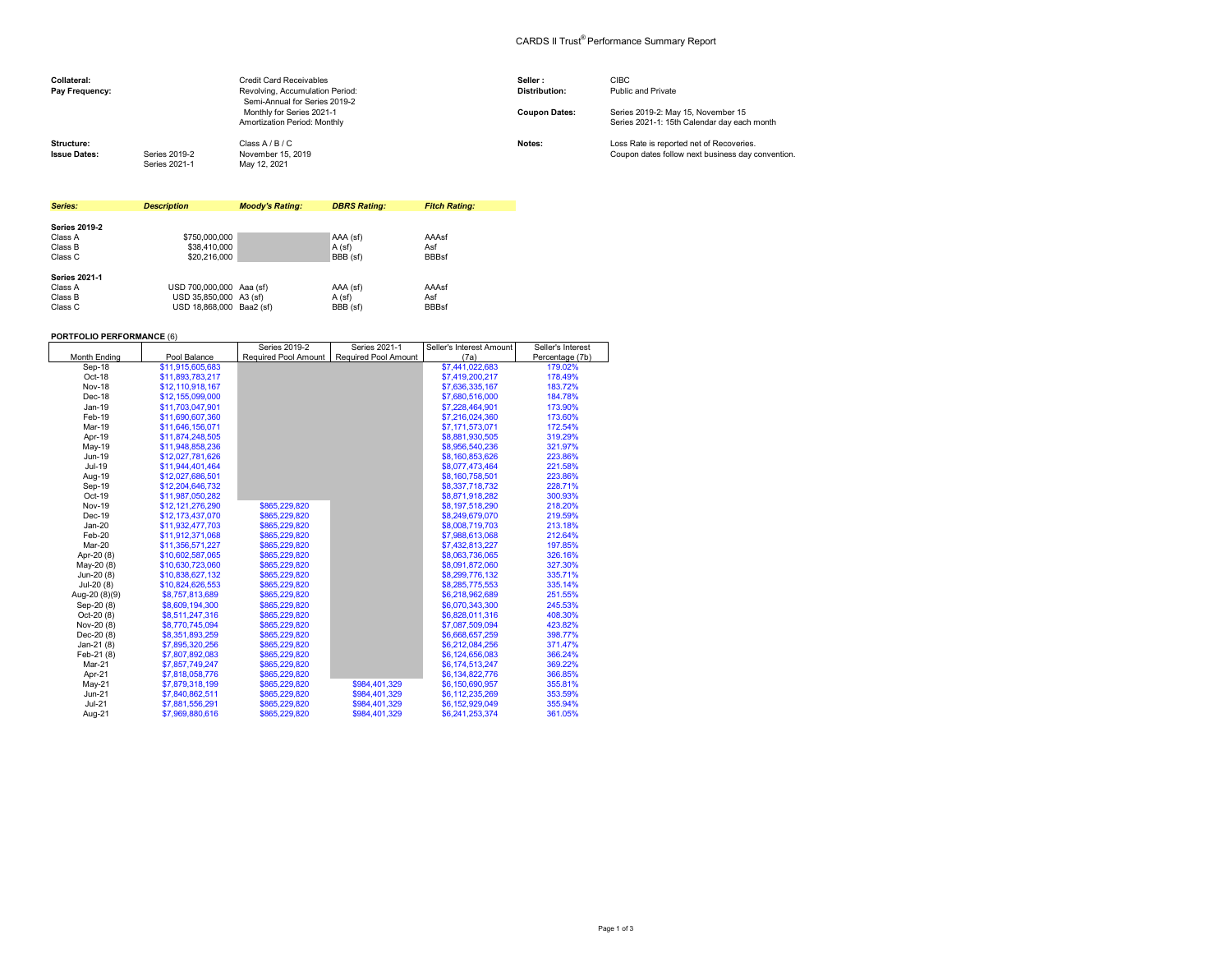## CARDS II Trust® Performance Summary Report

| Collateral:<br>Pay Frequency:     |                                | <b>Credit Card Receivables</b><br>Revolving, Accumulation Period:<br>Semi-Annual for Series 2019-2 | Seller:<br><b>Distribution:</b> | <b>CIBC</b><br>Public and Private                                                             |
|-----------------------------------|--------------------------------|----------------------------------------------------------------------------------------------------|---------------------------------|-----------------------------------------------------------------------------------------------|
|                                   |                                | Monthly for Series 2021-1<br>Amortization Period: Monthly                                          | <b>Coupon Dates:</b>            | Series 2019-2: May 15, November 15<br>Series 2021-1: 15th Calendar day each month             |
| Structure:<br><b>Issue Dates:</b> | Series 2019-2<br>Series 2021-1 | Class A / B / C<br>November 15, 2019<br>May 12, 2021                                               | Notes:                          | Loss Rate is reported net of Recoveries.<br>Coupon dates follow next business day convention. |

| Series:              | <b>Description</b>       | <b>Moody's Rating:</b> | <b>DBRS Rating:</b> | <b>Fitch Rating:</b> |
|----------------------|--------------------------|------------------------|---------------------|----------------------|
|                      |                          |                        |                     |                      |
| <b>Series 2019-2</b> |                          |                        |                     |                      |
| Class A              | \$750,000,000            |                        | AAA (sf)            | AAAsf                |
| Class B              | \$38,410,000             |                        | A(sf)               | Asf                  |
| Class C              | \$20,216,000             |                        | BBB (sf)            | <b>BBBsf</b>         |
| <b>Series 2021-1</b> |                          |                        |                     |                      |
| Class A              | USD 700,000,000 Aaa (sf) |                        | AAA (sf)            | AAAsf                |
| Class B              | USD 35.850,000 A3 (sf)   |                        | A (sf)              | Asf                  |
| Class C              | USD 18.868.000 Baa2 (sf) |                        | BBB (sf)            | <b>BBBsf</b>         |

 $\frac{1}{2}$  - 2019-20

┯

 $S = 2001$ 

Seller's Interest Amount

Seller's Interest

## **PORTFOLIO PERFORMANCE** (6)

|               |                  | Series ZU19-Z        | Series ZUZ1-1               | Seller's Interest Amount | Seller's interest |
|---------------|------------------|----------------------|-----------------------------|--------------------------|-------------------|
| Month Ending  | Pool Balance     | Required Pool Amount | <b>Required Pool Amount</b> | (7a)                     | Percentage (7b)   |
| Sep-18        | \$11,915,605,683 |                      |                             | \$7,441,022,683          | 179.02%           |
| Oct-18        | \$11,893,783,217 |                      |                             | \$7,419,200,217          | 178.49%           |
| <b>Nov-18</b> | \$12,110,918,167 |                      |                             | \$7,636,335,167          | 183.72%           |
| Dec-18        | \$12,155,099,000 |                      |                             | \$7,680,516,000          | 184.78%           |
| $Jan-19$      | \$11,703,047,901 |                      |                             | \$7,228,464,901          | 173.90%           |
| Feb-19        | \$11,690,607,360 |                      |                             | \$7,216,024,360          | 173.60%           |
| Mar-19        | \$11.646.156.071 |                      |                             | \$7.171.573.071          | 172.54%           |
| Apr-19        | \$11,874,248,505 |                      |                             | \$8,881,930,505          | 319.29%           |
| May-19        | \$11,948,858,236 |                      |                             | \$8,956,540,236          | 321.97%           |
| Jun-19        | \$12,027,781,626 |                      |                             | \$8,160,853,626          | 223.86%           |
| Jul-19        | \$11,944,401,464 |                      |                             | \$8,077,473,464          | 221.58%           |
| Aug-19        | \$12,027,686,501 |                      |                             | \$8,160,758,501          | 223.86%           |
| Sep-19        | \$12,204,646,732 |                      |                             | \$8,337,718,732          | 228.71%           |
| Oct-19        | \$11,987,050,282 |                      |                             | \$8,871,918,282          | 300.93%           |
| <b>Nov-19</b> | \$12,121,276,290 | \$865.229.820        |                             | \$8,197,518,290          | 218.20%           |
| Dec-19        | \$12,173,437,070 | \$865,229.820        |                             | \$8,249,679,070          | 219.59%           |
| $Jan-20$      | \$11.932.477.703 | \$865,229.820        |                             | \$8,008,719,703          | 213.18%           |
| Feb-20        | \$11,912,371,068 | \$865,229,820        |                             | \$7,988,613,068          | 212.64%           |
| Mar-20        | \$11,356,571,227 | \$865,229,820        |                             | \$7,432,813,227          | 197.85%           |
| Apr-20 (8)    | \$10,602,587,065 | \$865,229,820        |                             | \$8,063,736,065          | 326.16%           |
| May-20 (8)    | \$10,630,723,060 | \$865,229,820        |                             | \$8,091,872,060          | 327.30%           |
| Jun-20 (8)    | \$10,838,627,132 | \$865,229,820        |                             | \$8,299,776,132          | 335.71%           |
| Jul-20 (8)    | \$10,824,626,553 | \$865,229,820        |                             | \$8,285,775,553          | 335.14%           |
| Aug-20 (8)(9) | \$8,757,813,689  | \$865,229,820        |                             | \$6,218,962,689          | 251.55%           |
| Sep-20 (8)    | \$8,609,194,300  | \$865,229,820        |                             | \$6,070,343,300          | 245.53%           |
| $Oct-20(8)$   | \$8,511,247,316  | \$865,229.820        |                             | \$6,828,011,316          | 408.30%           |
| Nov-20 (8)    | \$8,770,745,094  | \$865,229,820        |                             | \$7,087,509,094          | 423.82%           |
| Dec-20 (8)    | \$8,351,893,259  | \$865,229,820        |                             | \$6,668,657,259          | 398.77%           |
| Jan-21 $(8)$  | \$7,895,320,256  | \$865,229,820        |                             | \$6,212,084,256          | 371.47%           |
| Feb-21 (8)    | \$7,807,892,083  | \$865,229,820        |                             | \$6,124,656,083          | 366.24%           |
| Mar-21        | \$7,857,749,247  | \$865,229,820        |                             | \$6,174,513,247          | 369.22%           |
| Apr-21        | \$7,818,058,776  | \$865,229,820        |                             | \$6,134,822,776          | 366.85%           |
| $May-21$      | \$7,879,318,199  | \$865.229.820        | \$984.401.329               | \$6,150,690,957          | 355.81%           |
| $Jun-21$      | \$7,840,862,511  | \$865,229,820        | \$984,401,329               | \$6,112,235,269          | 353.59%           |
| $Jul-21$      | \$7,881,556,291  | \$865,229,820        | \$984.401.329               | \$6,152,929,049          | 355.94%           |
| Aug-21        | \$7,969,880,616  | \$865,229,820        | \$984,401,329               | \$6,241,253,374          | 361.05%           |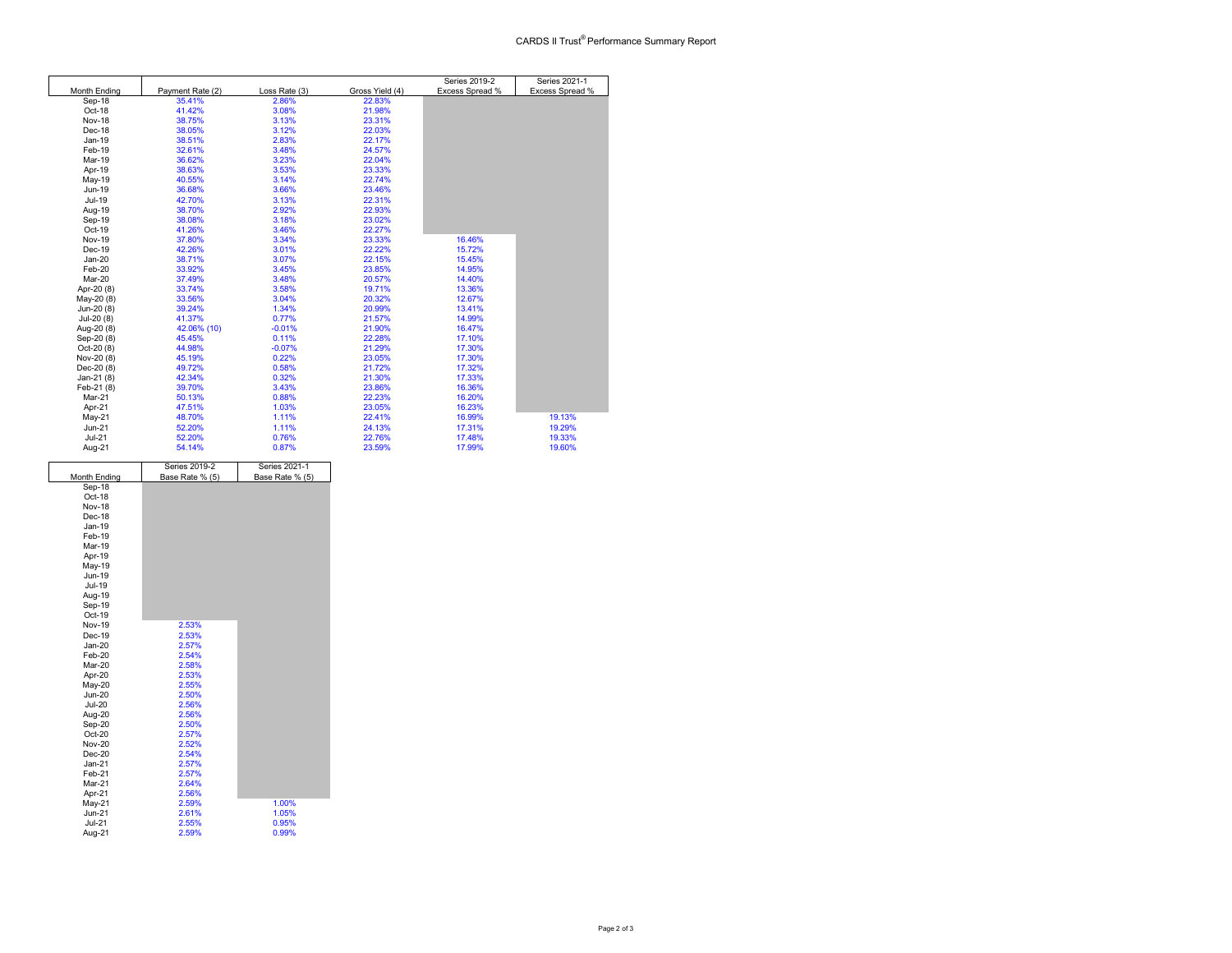|                     |                  |               |                 | Series 2019-2   | Series 2021-1   |
|---------------------|------------------|---------------|-----------------|-----------------|-----------------|
| <b>Month Ending</b> | Payment Rate (2) | Loss Rate (3) | Gross Yield (4) | Excess Spread % | Excess Spread % |
| Sep-18              | 35.41%           | 2.86%         | 22.83%          |                 |                 |
| Oct-18              | 41.42%           | 3.08%         | 21.98%          |                 |                 |
| Nov-18              | 38.75%           | 3.13%         | 23.31%          |                 |                 |
| Dec-18              | 38.05%           | 3.12%         | 22.03%          |                 |                 |
| Jan-19              | 38.51%           | 2.83%         | 22.17%          |                 |                 |
| Feb-19              | 32.61%           | 3.48%         | 24.57%          |                 |                 |
| Mar-19              | 36.62%           | 3.23%         | 22.04%          |                 |                 |
| Apr-19              | 38.63%           | 3.53%         | 23.33%          |                 |                 |
| May-19              | 40.55%           | 3.14%         | 22.74%          |                 |                 |
| Jun-19              | 36.68%           | 3.66%         | 23.46%          |                 |                 |
| Jul-19              | 42.70%           | 3.13%         | 22.31%          |                 |                 |
| Aug-19              | 38.70%           | 2.92%         | 22.93%          |                 |                 |
| Sep-19              | 38.08%           | 3.18%         | 23.02%          |                 |                 |
| Oct-19              | 41.26%           | 3.46%         | 22.27%          |                 |                 |
| <b>Nov-19</b>       | 37.80%           | 3.34%         | 23.33%          | 16.46%          |                 |
| Dec-19              | 42.26%           | 3.01%         | 22.22%          | 15.72%          |                 |
| $Jan-20$            | 38.71%           | 3.07%         | 22.15%          | 15.45%          |                 |
| Feb-20              | 33.92%           | 3.45%         | 23.85%          | 14.95%          |                 |
| Mar-20              | 37.49%           | 3.48%         | 20.57%          | 14.40%          |                 |
| Apr-20 (8)          | 33.74%           | 3.58%         | 19.71%          | 13.36%          |                 |
| May-20 (8)          | 33.56%           | 3.04%         | 20.32%          | 12.67%          |                 |
| Jun-20 (8)          | 39.24%           | 1.34%         | 20.99%          | 13.41%          |                 |
| Jul-20 (8)          | 41.37%           | 0.77%         | 21.57%          | 14.99%          |                 |
| Aug-20 (8)          | 42.06% (10)      | $-0.01%$      | 21.90%          | 16.47%          |                 |
| Sep-20 (8)          | 45.45%           | 0.11%         | 22.28%          | 17.10%          |                 |
| Oct-20 (8)          | 44.98%           | $-0.07%$      | 21.29%          | 17.30%          |                 |
| Nov-20 (8)          | 45.19%           | 0.22%         | 23.05%          | 17.30%          |                 |
| Dec-20 (8)          | 49.72%           | 0.58%         | 21.72%          | 17.32%          |                 |
| Jan-21 (8)          | 42.34%           | 0.32%         | 21.30%          | 17.33%          |                 |
| Feb-21 (8)          | 39.70%           | 3.43%         | 23.86%          | 16.36%          |                 |
| Mar-21              | 50.13%           | 0.88%         | 22.23%          | 16.20%          |                 |
| Apr-21              | 47.51%           | 1.03%         | 23.05%          | 16.23%          |                 |
| May-21              | 48.70%           | 1.11%         | 22.41%          | 16.99%          | 19.13%          |
| $Jun-21$            | 52.20%           | 1.11%         | 24.13%          | 17.31%          | 19.29%          |
| $Jul-21$            | 52.20%           | 0.76%         | 22.76%          | 17.48%          | 19.33%          |
| Aug-21              | 54.14%           | 0.87%         | 23.59%          | 17.99%          | 19.60%          |

|               | Series 2019-2   | Series 2021-1   |  |
|---------------|-----------------|-----------------|--|
| Month Ending  | Base Rate % (5) | Base Rate % (5) |  |
| Sep-18        |                 |                 |  |
| Oct-18        |                 |                 |  |
| <b>Nov-18</b> |                 |                 |  |
| Dec-18        |                 |                 |  |
| Jan-19        |                 |                 |  |
| Feb-19        |                 |                 |  |
| Mar-19        |                 |                 |  |
| Apr-19        |                 |                 |  |
| May-19        |                 |                 |  |
| Jun-19        |                 |                 |  |
| Jul-19        |                 |                 |  |
| Aug-19        |                 |                 |  |
| Sep-19        |                 |                 |  |
| Oct-19        |                 |                 |  |
| <b>Nov-19</b> | 2.53%           |                 |  |
| Dec-19        | 2.53%           |                 |  |
| $Jan-20$      | 2.57%           |                 |  |
| Feb-20        | 2.54%           |                 |  |
| Mar-20        | 2.58%           |                 |  |
| Apr-20        | 2.53%           |                 |  |
| May-20        | 2.55%           |                 |  |
| <b>Jun-20</b> | 2.50%           |                 |  |
| <b>Jul-20</b> | 2.56%           |                 |  |
| Aug-20        | 2.56%           |                 |  |
| Sep-20        | 2.50%           |                 |  |
| Oct-20        | 2.57%           |                 |  |
| <b>Nov-20</b> | 2.52%           |                 |  |
| $Dec-20$      | 2.54%           |                 |  |
| $Jan-21$      | 2.57%           |                 |  |
| Feb-21        | 2.57%           |                 |  |
| Mar-21        | 2.64%           |                 |  |
| Apr-21        | 2.56%           |                 |  |
| May-21        | 2.59%           | 1.00%           |  |
| $Jun-21$      | 2.61%           | 1.05%           |  |
| <b>Jul-21</b> | 2.55%           | 0.95%           |  |
| Aug-21        | 2.59%           | 0.99%           |  |